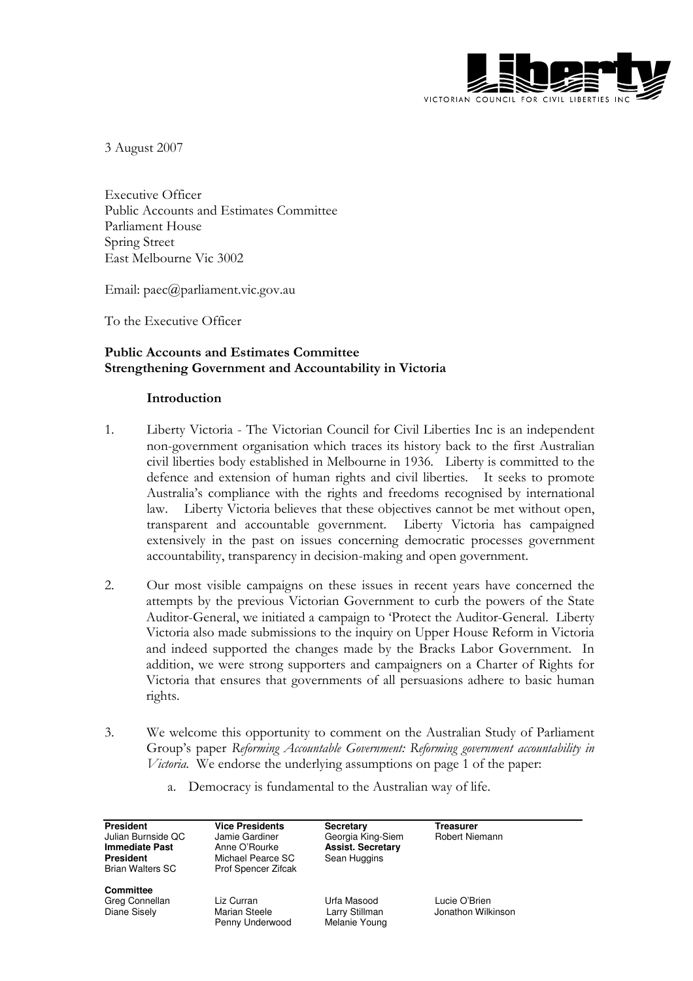

3 August 2007

Executive Officer Public Accounts and Estimates Committee Parliament House Spring Street East Melbourne Vic 3002

Email: paec@parliament.vic.gov.au

To the Executive Officer

# Public Accounts and Estimates Committee Strengthening Government and Accountability in Victoria

### Introduction

- 1. Liberty Victoria The Victorian Council for Civil Liberties Inc is an independent non-government organisation which traces its history back to the first Australian civil liberties body established in Melbourne in 1936. Liberty is committed to the defence and extension of human rights and civil liberties. It seeks to promote Australia's compliance with the rights and freedoms recognised by international law. Liberty Victoria believes that these objectives cannot be met without open, transparent and accountable government. Liberty Victoria has campaigned extensively in the past on issues concerning democratic processes government accountability, transparency in decision-making and open government.
- 2. Our most visible campaigns on these issues in recent years have concerned the attempts by the previous Victorian Government to curb the powers of the State Auditor-General, we initiated a campaign to 'Protect the Auditor-General. Liberty Victoria also made submissions to the inquiry on Upper House Reform in Victoria and indeed supported the changes made by the Bracks Labor Government. In addition, we were strong supporters and campaigners on a Charter of Rights for Victoria that ensures that governments of all persuasions adhere to basic human rights.
- 3. We welcome this opportunity to comment on the Australian Study of Parliament Group's paper Reforming Accountable Government: Reforming government accountability in Victoria. We endorse the underlying assumptions on page 1 of the paper:
	- a. Democracy is fundamental to the Australian way of life.

| President<br>Julian Burnside QC<br>Immediate Past<br>President<br>Brian Walters SC | <b>Vice Presidents</b><br>Jamie Gardiner<br>Anne O'Rourke<br>Michael Pearce SC<br>Prof Spencer Zifcak | <b>Secretary</b><br>Georgia King-Siem<br><b>Assist. Secretary</b><br>Sean Huggins | Treasurer<br>Robert Niemann |
|------------------------------------------------------------------------------------|-------------------------------------------------------------------------------------------------------|-----------------------------------------------------------------------------------|-----------------------------|
| Committee<br>Greg Connellan                                                        | Liz Curran                                                                                            | Urfa Masood                                                                       | Lucie O'Brien               |

Penny Underwood

Diane Sisely Marian Steele Larry Stillman Jonathon Wilkinson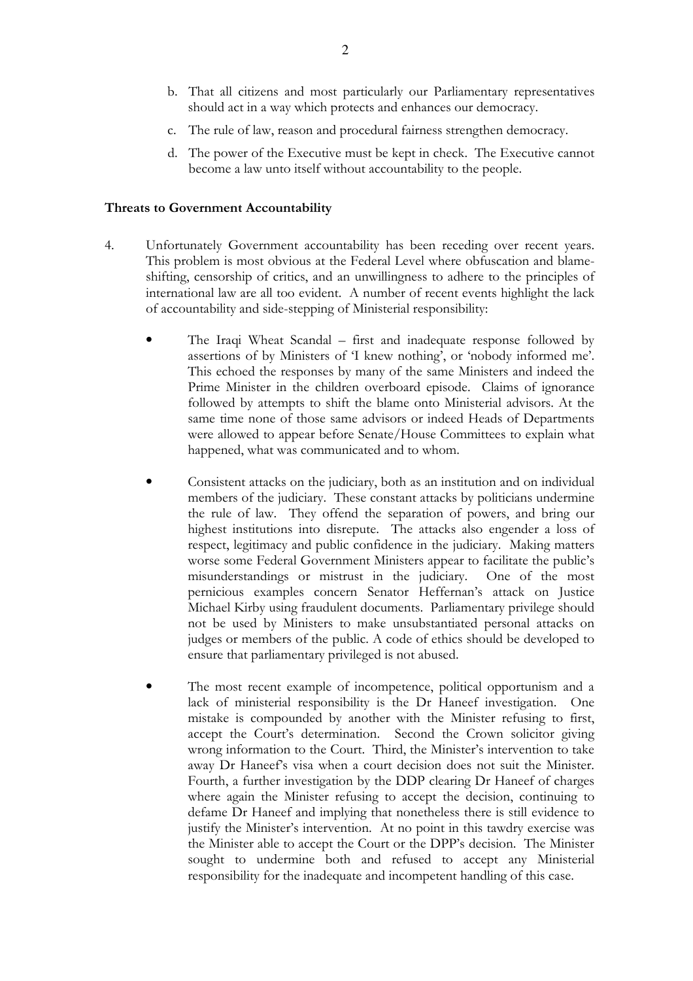- b. That all citizens and most particularly our Parliamentary representatives should act in a way which protects and enhances our democracy.
- c. The rule of law, reason and procedural fairness strengthen democracy.
- d. The power of the Executive must be kept in check. The Executive cannot become a law unto itself without accountability to the people.

#### Threats to Government Accountability

- 4. Unfortunately Government accountability has been receding over recent years. This problem is most obvious at the Federal Level where obfuscation and blameshifting, censorship of critics, and an unwillingness to adhere to the principles of international law are all too evident. A number of recent events highlight the lack of accountability and side-stepping of Ministerial responsibility:
	- The Iraqi Wheat Scandal first and inadequate response followed by assertions of by Ministers of 'I knew nothing', or 'nobody informed me'. This echoed the responses by many of the same Ministers and indeed the Prime Minister in the children overboard episode. Claims of ignorance followed by attempts to shift the blame onto Ministerial advisors. At the same time none of those same advisors or indeed Heads of Departments were allowed to appear before Senate/House Committees to explain what happened, what was communicated and to whom.
	- Consistent attacks on the judiciary, both as an institution and on individual members of the judiciary. These constant attacks by politicians undermine the rule of law. They offend the separation of powers, and bring our highest institutions into disrepute. The attacks also engender a loss of respect, legitimacy and public confidence in the judiciary. Making matters worse some Federal Government Ministers appear to facilitate the public's misunderstandings or mistrust in the judiciary. One of the most pernicious examples concern Senator Heffernan's attack on Justice Michael Kirby using fraudulent documents. Parliamentary privilege should not be used by Ministers to make unsubstantiated personal attacks on judges or members of the public. A code of ethics should be developed to ensure that parliamentary privileged is not abused.
	- The most recent example of incompetence, political opportunism and a lack of ministerial responsibility is the Dr Haneef investigation. One mistake is compounded by another with the Minister refusing to first, accept the Court's determination. Second the Crown solicitor giving wrong information to the Court. Third, the Minister's intervention to take away Dr Haneef's visa when a court decision does not suit the Minister. Fourth, a further investigation by the DDP clearing Dr Haneef of charges where again the Minister refusing to accept the decision, continuing to defame Dr Haneef and implying that nonetheless there is still evidence to justify the Minister's intervention. At no point in this tawdry exercise was the Minister able to accept the Court or the DPP's decision. The Minister sought to undermine both and refused to accept any Ministerial responsibility for the inadequate and incompetent handling of this case.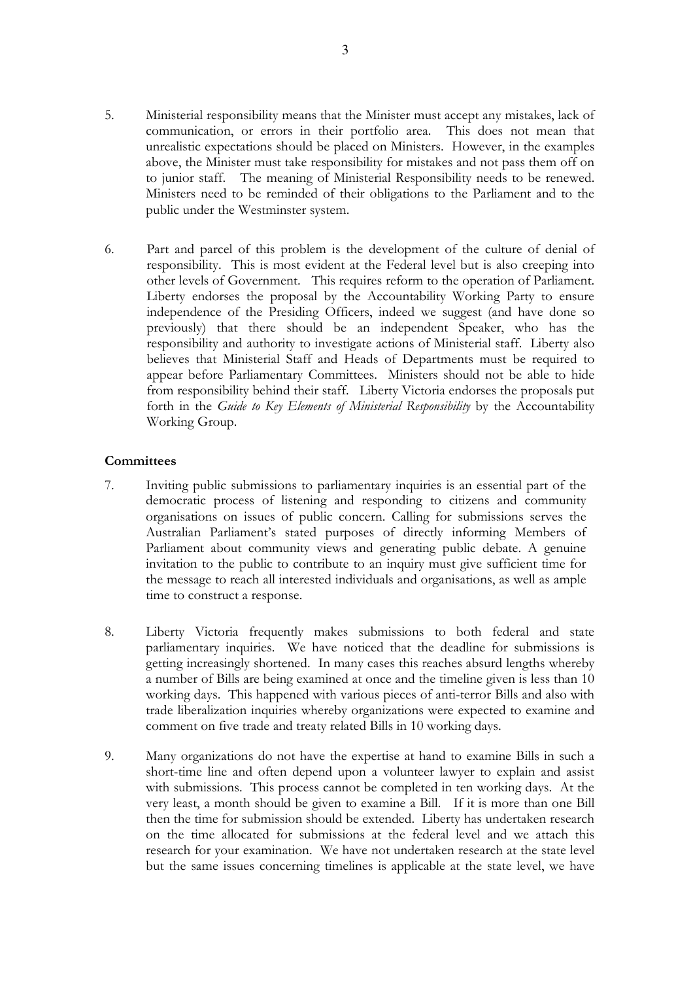- 5. Ministerial responsibility means that the Minister must accept any mistakes, lack of communication, or errors in their portfolio area. This does not mean that unrealistic expectations should be placed on Ministers. However, in the examples above, the Minister must take responsibility for mistakes and not pass them off on to junior staff. The meaning of Ministerial Responsibility needs to be renewed. Ministers need to be reminded of their obligations to the Parliament and to the public under the Westminster system.
- 6. Part and parcel of this problem is the development of the culture of denial of responsibility. This is most evident at the Federal level but is also creeping into other levels of Government. This requires reform to the operation of Parliament. Liberty endorses the proposal by the Accountability Working Party to ensure independence of the Presiding Officers, indeed we suggest (and have done so previously) that there should be an independent Speaker, who has the responsibility and authority to investigate actions of Ministerial staff. Liberty also believes that Ministerial Staff and Heads of Departments must be required to appear before Parliamentary Committees. Ministers should not be able to hide from responsibility behind their staff. Liberty Victoria endorses the proposals put forth in the Guide to Key Elements of Ministerial Responsibility by the Accountability Working Group.

### **Committees**

- 7. Inviting public submissions to parliamentary inquiries is an essential part of the democratic process of listening and responding to citizens and community organisations on issues of public concern. Calling for submissions serves the Australian Parliament's stated purposes of directly informing Members of Parliament about community views and generating public debate. A genuine invitation to the public to contribute to an inquiry must give sufficient time for the message to reach all interested individuals and organisations, as well as ample time to construct a response.
- 8. Liberty Victoria frequently makes submissions to both federal and state parliamentary inquiries. We have noticed that the deadline for submissions is getting increasingly shortened. In many cases this reaches absurd lengths whereby a number of Bills are being examined at once and the timeline given is less than 10 working days. This happened with various pieces of anti-terror Bills and also with trade liberalization inquiries whereby organizations were expected to examine and comment on five trade and treaty related Bills in 10 working days.
- 9. Many organizations do not have the expertise at hand to examine Bills in such a short-time line and often depend upon a volunteer lawyer to explain and assist with submissions. This process cannot be completed in ten working days. At the very least, a month should be given to examine a Bill. If it is more than one Bill then the time for submission should be extended. Liberty has undertaken research on the time allocated for submissions at the federal level and we attach this research for your examination. We have not undertaken research at the state level but the same issues concerning timelines is applicable at the state level, we have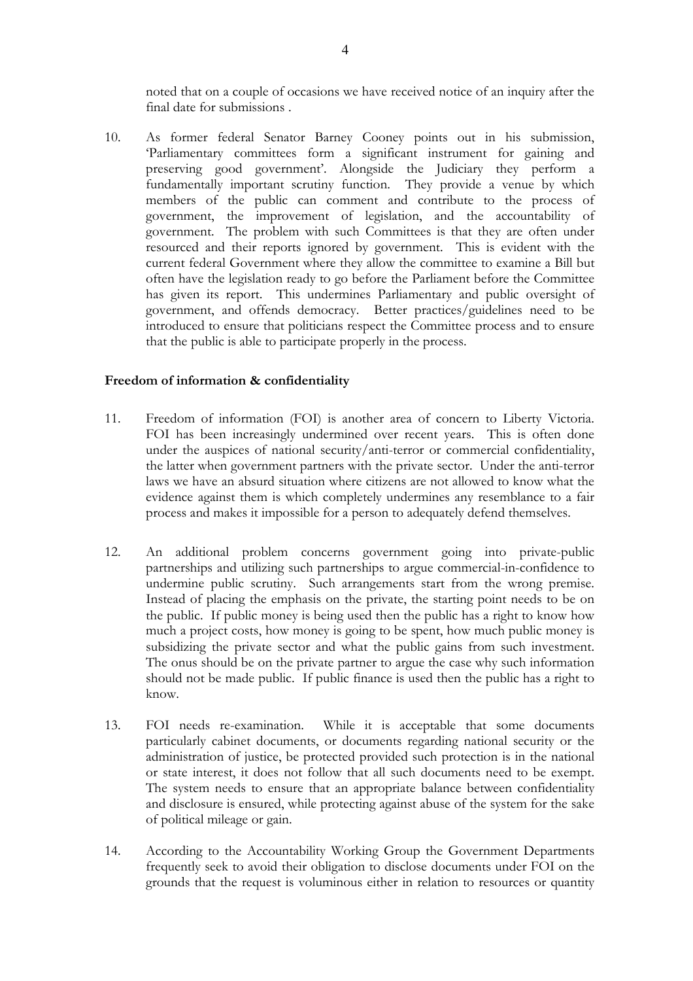noted that on a couple of occasions we have received notice of an inquiry after the final date for submissions .

10. As former federal Senator Barney Cooney points out in his submission, 'Parliamentary committees form a significant instrument for gaining and preserving good government'. Alongside the Judiciary they perform a fundamentally important scrutiny function. They provide a venue by which members of the public can comment and contribute to the process of government, the improvement of legislation, and the accountability of government. The problem with such Committees is that they are often under resourced and their reports ignored by government. This is evident with the current federal Government where they allow the committee to examine a Bill but often have the legislation ready to go before the Parliament before the Committee has given its report. This undermines Parliamentary and public oversight of government, and offends democracy. Better practices/guidelines need to be introduced to ensure that politicians respect the Committee process and to ensure that the public is able to participate properly in the process.

### Freedom of information & confidentiality

- 11. Freedom of information (FOI) is another area of concern to Liberty Victoria. FOI has been increasingly undermined over recent years. This is often done under the auspices of national security/anti-terror or commercial confidentiality, the latter when government partners with the private sector. Under the anti-terror laws we have an absurd situation where citizens are not allowed to know what the evidence against them is which completely undermines any resemblance to a fair process and makes it impossible for a person to adequately defend themselves.
- 12. An additional problem concerns government going into private-public partnerships and utilizing such partnerships to argue commercial-in-confidence to undermine public scrutiny. Such arrangements start from the wrong premise. Instead of placing the emphasis on the private, the starting point needs to be on the public. If public money is being used then the public has a right to know how much a project costs, how money is going to be spent, how much public money is subsidizing the private sector and what the public gains from such investment. The onus should be on the private partner to argue the case why such information should not be made public. If public finance is used then the public has a right to know.
- 13. FOI needs re-examination. While it is acceptable that some documents particularly cabinet documents, or documents regarding national security or the administration of justice, be protected provided such protection is in the national or state interest, it does not follow that all such documents need to be exempt. The system needs to ensure that an appropriate balance between confidentiality and disclosure is ensured, while protecting against abuse of the system for the sake of political mileage or gain.
- 14. According to the Accountability Working Group the Government Departments frequently seek to avoid their obligation to disclose documents under FOI on the grounds that the request is voluminous either in relation to resources or quantity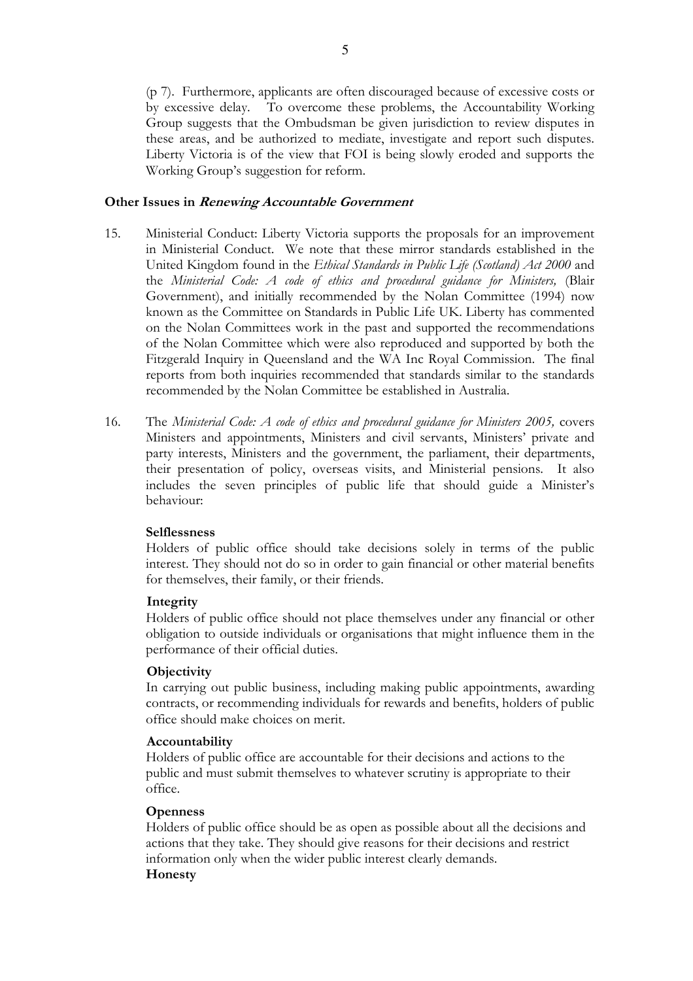(p 7). Furthermore, applicants are often discouraged because of excessive costs or by excessive delay. To overcome these problems, the Accountability Working Group suggests that the Ombudsman be given jurisdiction to review disputes in these areas, and be authorized to mediate, investigate and report such disputes. Liberty Victoria is of the view that FOI is being slowly eroded and supports the Working Group's suggestion for reform.

### Other Issues in Renewing Accountable Government

- 15. Ministerial Conduct: Liberty Victoria supports the proposals for an improvement in Ministerial Conduct. We note that these mirror standards established in the United Kingdom found in the Ethical Standards in Public Life (Scotland) Act 2000 and the Ministerial Code: A code of ethics and procedural guidance for Ministers, (Blair Government), and initially recommended by the Nolan Committee (1994) now known as the Committee on Standards in Public Life UK. Liberty has commented on the Nolan Committees work in the past and supported the recommendations of the Nolan Committee which were also reproduced and supported by both the Fitzgerald Inquiry in Queensland and the WA Inc Royal Commission. The final reports from both inquiries recommended that standards similar to the standards recommended by the Nolan Committee be established in Australia.
- 16. The Ministerial Code: A code of ethics and procedural guidance for Ministers 2005, covers Ministers and appointments, Ministers and civil servants, Ministers' private and party interests, Ministers and the government, the parliament, their departments, their presentation of policy, overseas visits, and Ministerial pensions. It also includes the seven principles of public life that should guide a Minister's behaviour:

### **Selflessness**

Holders of public office should take decisions solely in terms of the public interest. They should not do so in order to gain financial or other material benefits for themselves, their family, or their friends.

### Integrity

Holders of public office should not place themselves under any financial or other obligation to outside individuals or organisations that might influence them in the performance of their official duties.

### **Objectivity**

In carrying out public business, including making public appointments, awarding contracts, or recommending individuals for rewards and benefits, holders of public office should make choices on merit.

### Accountability

Holders of public office are accountable for their decisions and actions to the public and must submit themselves to whatever scrutiny is appropriate to their office.

# **Openness**

Holders of public office should be as open as possible about all the decisions and actions that they take. They should give reasons for their decisions and restrict information only when the wider public interest clearly demands. Honesty